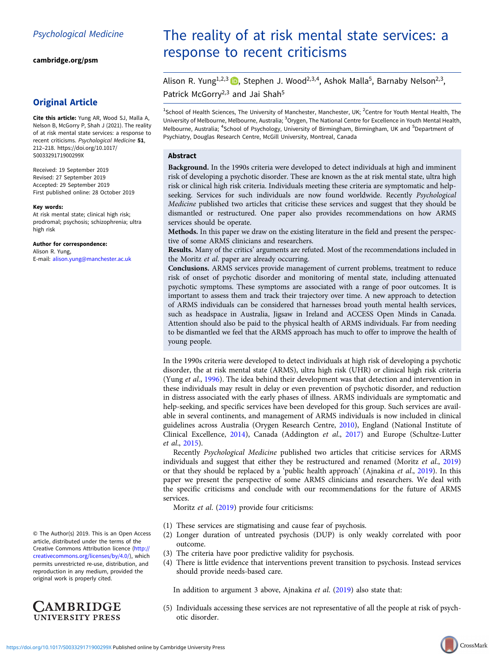[cambridge.org/psm](https://www.cambridge.org/psm)

# Original Article

Cite this article: Yung AR, Wood SJ, Malla A, Nelson B, McGorry P, Shah J (2021). The reality of at risk mental state services: a response to recent criticisms. Psychological Medicine 51, 212–218. [https://doi.org/10.1017/](https://doi.org/10.1017/S003329171900299X) [S003329171900299X](https://doi.org/10.1017/S003329171900299X)

Received: 19 September 2019 Revised: 27 September 2019 Accepted: 29 September 2019 First published online: 28 October 2019

#### Key words:

At risk mental state; clinical high risk; prodromal; psychosis; schizophrenia; ultra high risk

Author for correspondence:

Alison R. Yung, E-mail: [alison.yung@manchester.ac.uk](mailto:alison.yung@manchester.ac.uk)

© The Author(s) 2019. This is an Open Access article, distributed under the terms of the Creative Commons Attribution licence ([http://](http://creativecommons.org/licenses/by/4.0/) [creativecommons.org/licenses/by/4.0/](http://creativecommons.org/licenses/by/4.0/)), which permits unrestricted re-use, distribution, and reproduction in any medium, provided the original work is properly cited.



# The reality of at risk mental state services: a response to recent criticisms

# Alison R. Yung<sup>1[,](https://orcid.org/0000-0002-0401-9791)2,3</sup> a. Stephen J. Wood<sup>2,3,4</sup>, Ashok Malla<sup>5</sup>, Barnaby Nelson<sup>2,3</sup>, Patrick McGorry<sup>2,3</sup> and Jai Shah<sup>5</sup>

<sup>1</sup>School of Health Sciences, The University of Manchester, Manchester, UK; <sup>2</sup>Centre for Youth Mental Health, The University of Melbourne, Melbourne, Australia; <sup>3</sup>Orygen, The National Centre for Excellence in Youth Mental Health, Melbourne, Australia; <sup>4</sup>School of Psychology, University of Birmingham, Birmingham, UK and <sup>5</sup>Department of Psychiatry, Douglas Research Centre, McGill University, Montreal, Canada

#### Abstract

Background. In the 1990s criteria were developed to detect individuals at high and imminent risk of developing a psychotic disorder. These are known as the at risk mental state, ultra high risk or clinical high risk criteria. Individuals meeting these criteria are symptomatic and helpseeking. Services for such individuals are now found worldwide. Recently Psychological Medicine published two articles that criticise these services and suggest that they should be dismantled or restructured. One paper also provides recommendations on how ARMS services should be operate.

Methods. In this paper we draw on the existing literature in the field and present the perspective of some ARMS clinicians and researchers.

Results. Many of the critics' arguments are refuted. Most of the recommendations included in the Moritz et al. paper are already occurring.

Conclusions. ARMS services provide management of current problems, treatment to reduce risk of onset of psychotic disorder and monitoring of mental state, including attenuated psychotic symptoms. These symptoms are associated with a range of poor outcomes. It is important to assess them and track their trajectory over time. A new approach to detection of ARMS individuals can be considered that harnesses broad youth mental health services, such as headspace in Australia, Jigsaw in Ireland and ACCESS Open Minds in Canada. Attention should also be paid to the physical health of ARMS individuals. Far from needing to be dismantled we feel that the ARMS approach has much to offer to improve the health of young people.

In the 1990s criteria were developed to detect individuals at high risk of developing a psychotic disorder, the at risk mental state (ARMS), ultra high risk (UHR) or clinical high risk criteria (Yung et al., [1996](#page-6-0)). The idea behind their development was that detection and intervention in these individuals may result in delay or even prevention of psychotic disorder, and reduction in distress associated with the early phases of illness. ARMS individuals are symptomatic and help-seeking, and specific services have been developed for this group. Such services are available in several continents, and management of ARMS individuals is now included in clinical guidelines across Australia (Orygen Research Centre, [2010\)](#page-6-0), England (National Institute of Clinical Excellence, [2014](#page-6-0)), Canada (Addington et al., [2017](#page-4-0)) and Europe (Schultze-Lutter et al., [2015\)](#page-6-0).

Recently Psychological Medicine published two articles that criticise services for ARMS individuals and suggest that either they be restructured and renamed (Moritz et al., [2019](#page-5-0)) or that they should be replaced by a 'public health approach' (Ajnakina et al., [2019\)](#page-5-0). In this paper we present the perspective of some ARMS clinicians and researchers. We deal with the specific criticisms and conclude with our recommendations for the future of ARMS services.

Moritz et al. ([2019](#page-5-0)) provide four criticisms:

- (1) These services are stigmatising and cause fear of psychosis.
- (2) Longer duration of untreated psychosis (DUP) is only weakly correlated with poor outcome.
- (3) The criteria have poor predictive validity for psychosis.
- (4) There is little evidence that interventions prevent transition to psychosis. Instead services should provide needs-based care.

In addition to argument 3 above, Ajnakina et al. [\(2019\)](#page-5-0) also state that:

(5) Individuals accessing these services are not representative of all the people at risk of psychotic disorder.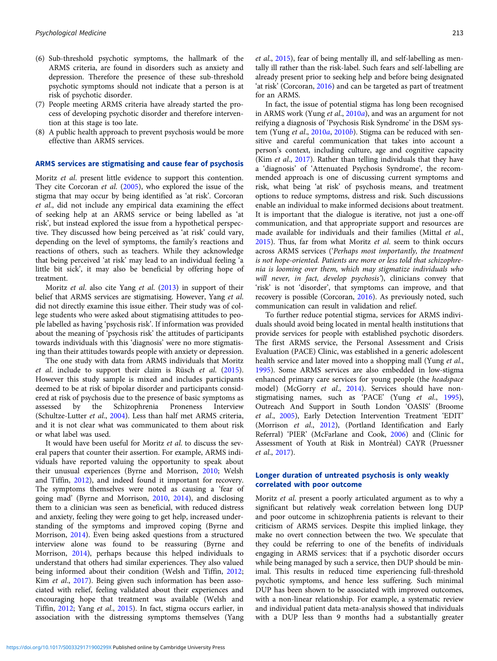- (6) Sub-threshold psychotic symptoms, the hallmark of the ARMS criteria, are found in disorders such as anxiety and depression. Therefore the presence of these sub-threshold psychotic symptoms should not indicate that a person is at risk of psychotic disorder.
- (7) People meeting ARMS criteria have already started the process of developing psychotic disorder and therefore intervention at this stage is too late.
- (8) A public health approach to prevent psychosis would be more effective than ARMS services.

#### ARMS services are stigmatising and cause fear of psychosis

Moritz et al. present little evidence to support this contention. They cite Corcoran et al. ([2005\)](#page-5-0), who explored the issue of the stigma that may occur by being identified as 'at risk'. Corcoran et al., did not include any empirical data examining the effect of seeking help at an ARMS service or being labelled as 'at risk', but instead explored the issue from a hypothetical perspective. They discussed how being perceived as 'at risk' could vary, depending on the level of symptoms, the family's reactions and reactions of others, such as teachers. While they acknowledge that being perceived 'at risk' may lead to an individual feeling 'a little bit sick', it may also be beneficial by offering hope of treatment.

Moritz *et al.* also cite Yang *et al.* ([2013](#page-6-0)) in support of their belief that ARMS services are stigmatising. However, Yang et al. did not directly examine this issue either. Their study was of college students who were asked about stigmatising attitudes to people labelled as having 'psychosis risk'. If information was provided about the meaning of 'psychosis risk' the attitudes of participants towards individuals with this 'diagnosis' were no more stigmatising than their attitudes towards people with anxiety or depression.

The one study with data from ARMS individuals that Moritz et al. include to support their claim is Rüsch et al. [\(2015\)](#page-6-0). However this study sample is mixed and includes participants deemed to be at risk of bipolar disorder and participants considered at risk of psychosis due to the presence of basic symptoms as assessed by the Schizophrenia Proneness Interview (Schultze-Lutter et al., [2004\)](#page-6-0). Less than half met ARMS criteria, and it is not clear what was communicated to them about risk or what label was used.

It would have been useful for Moritz et al. to discuss the several papers that counter their assertion. For example, ARMS individuals have reported valuing the opportunity to speak about their unusual experiences (Byrne and Morrison, [2010](#page-5-0); Welsh and Tiffin, [2012\)](#page-6-0), and indeed found it important for recovery. The symptoms themselves were noted as causing a 'fear of going mad' (Byrne and Morrison, [2010](#page-5-0), [2014\)](#page-5-0), and disclosing them to a clinician was seen as beneficial, with reduced distress and anxiety, feeling they were going to get help, increased understanding of the symptoms and improved coping (Byrne and Morrison, [2014\)](#page-5-0). Even being asked questions from a structured interview alone was found to be reassuring (Byrne and Morrison, [2014\)](#page-5-0), perhaps because this helped individuals to understand that others had similar experiences. They also valued being informed about their condition (Welsh and Tiffin, [2012;](#page-6-0) Kim et al., [2017](#page-5-0)). Being given such information has been associated with relief, feeling validated about their experiences and encouraging hope that treatment was available (Welsh and Tiffin, [2012;](#page-6-0) Yang et al., [2015\)](#page-6-0). In fact, stigma occurs earlier, in association with the distressing symptoms themselves (Yang

et al., [2015](#page-6-0)), fear of being mentally ill, and self-labelling as mentally ill rather than the risk-label. Such fears and self-labelling are already present prior to seeking help and before being designated 'at risk' (Corcoran, [2016\)](#page-5-0) and can be targeted as part of treatment for an ARMS.

In fact, the issue of potential stigma has long been recognised in ARMS work (Yung *et al.*, [2010](#page-6-0)*a*), and was an argument for not reifying a diagnosis of 'Psychosis Risk Syndrome' in the DSM sys-tem (Yung et al., [2010](#page-6-0)a, 2010b). Stigma can be reduced with sensitive and careful communication that takes into account a person's context, including culture, age and cognitive capacity (Kim et al., [2017\)](#page-5-0). Rather than telling individuals that they have a 'diagnosis' of 'Attenuated Psychosis Syndrome', the recommended approach is one of discussing current symptoms and risk, what being 'at risk' of psychosis means, and treatment options to reduce symptoms, distress and risk. Such discussions enable an individual to make informed decisions about treatment. It is important that the dialogue is iterative, not just a one-off communication, and that appropriate support and resources are made available for individuals and their families (Mittal et al., [2015](#page-5-0)). Thus, far from what Moritz et al. seem to think occurs across ARMS services ('Perhaps most importantly, the treatment is not hope-oriented. Patients are more or less told that schizophrenia is looming over them, which may stigmatize individuals who will never, in fact, develop psychosis'), clinicians convey that 'risk' is not 'disorder', that symptoms can improve, and that recovery is possible (Corcoran, [2016\)](#page-5-0). As previously noted, such communication can result in validation and relief.

To further reduce potential stigma, services for ARMS individuals should avoid being located in mental health institutions that provide services for people with established psychotic disorders. The first ARMS service, the Personal Assessment and Crisis Evaluation (PACE) Clinic, was established in a generic adolescent health service and later moved into a shopping mall (Yung et al., [1995](#page-6-0)). Some ARMS services are also embedded in low-stigma enhanced primary care services for young people (the headspace model) (McGorry et al., [2014](#page-5-0)). Services should have non-stigmatising names, such as 'PACE' (Yung et al., [1995](#page-6-0)), Outreach And Support in South London 'OASIS' (Broome et al., [2005](#page-5-0)), Early Detection Intervention Treatment 'EDIT' (Morrison et al., [2012\)](#page-5-0), (Portland Identification and Early Referral) 'PIER' (McFarlane and Cook, [2006](#page-5-0)) and (Clinic for Assessment of Youth at Risk in Montréal) CAYR (Pruessner et al., [2017](#page-6-0)).

## Longer duration of untreated psychosis is only weakly correlated with poor outcome

Moritz et al. present a poorly articulated argument as to why a significant but relatively weak correlation between long DUP and poor outcome in schizophrenia patients is relevant to their criticism of ARMS services. Despite this implied linkage, they make no overt connection between the two. We speculate that they could be referring to one of the benefits of individuals engaging in ARMS services: that if a psychotic disorder occurs while being managed by such a service, then DUP should be minimal. This results in reduced time experiencing full-threshold psychotic symptoms, and hence less suffering. Such minimal DUP has been shown to be associated with improved outcomes, with a non-linear relationship. For example, a systematic review and individual patient data meta-analysis showed that individuals with a DUP less than 9 months had a substantially greater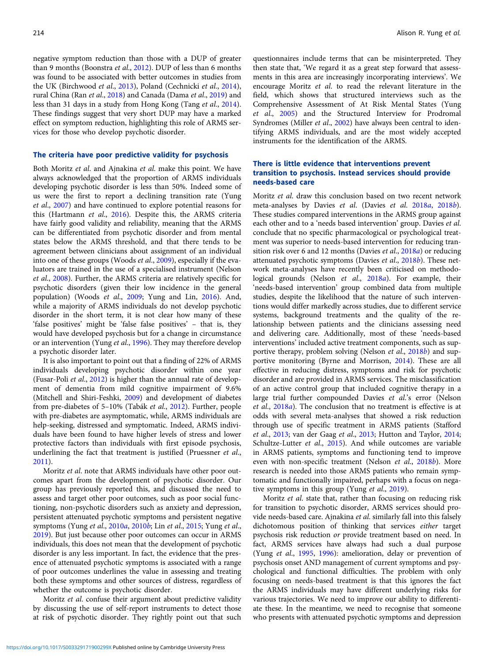negative symptom reduction than those with a DUP of greater than 9 months (Boonstra et al., [2012](#page-5-0)). DUP of less than 6 months was found to be associated with better outcomes in studies from the UK (Birchwood et al., [2013](#page-5-0)), Poland (Cechnicki et al., [2014\)](#page-5-0), rural China (Ran et al., [2018\)](#page-6-0) and Canada (Dama et al., [2019](#page-5-0)) and less than 31 days in a study from Hong Kong (Tang et al., [2014\)](#page-6-0). These findings suggest that very short DUP may have a marked effect on symptom reduction, highlighting this role of ARMS services for those who develop psychotic disorder.

# The criteria have poor predictive validity for psychosis

Both Moritz et al. and Ajnakina et al. make this point. We have always acknowledged that the proportion of ARMS individuals developing psychotic disorder is less than 50%. Indeed some of us were the first to report a declining transition rate (Yung et al., [2007](#page-6-0)) and have continued to explore potential reasons for this (Hartmann et al., [2016\)](#page-5-0). Despite this, the ARMS criteria have fairly good validity and reliability, meaning that the ARMS can be differentiated from psychotic disorder and from mental states below the ARMS threshold, and that there tends to be agreement between clinicians about assignment of an individual into one of these groups (Woods et al., [2009\)](#page-6-0), especially if the evaluators are trained in the use of a specialised instrument (Nelson et al., [2008\)](#page-6-0). Further, the ARMS criteria are relatively specific for psychotic disorders (given their low incidence in the general population) (Woods et al., [2009](#page-6-0); Yung and Lin, [2016](#page-6-0)). And, while a majority of ARMS individuals do not develop psychotic disorder in the short term, it is not clear how many of these 'false positives' might be 'false false positives' – that is, they would have developed psychosis but for a change in circumstance or an intervention (Yung et al., [1996\)](#page-6-0). They may therefore develop a psychotic disorder later.

It is also important to point out that a finding of 22% of ARMS individuals developing psychotic disorder within one year (Fusar-Poli et al., [2012\)](#page-5-0) is higher than the annual rate of development of dementia from mild cognitive impairment of 9.6% (Mitchell and Shiri‐Feshki, [2009\)](#page-5-0) and development of diabetes from pre-diabetes of 5–10% (Tabák et al., [2012\)](#page-6-0). Further, people with pre-diabetes are asymptomatic, while, ARMS individuals are help-seeking, distressed and symptomatic. Indeed, ARMS individuals have been found to have higher levels of stress and lower protective factors than individuals with first episode psychosis, underlining the fact that treatment is justified (Pruessner et al., [2011\)](#page-6-0).

Moritz et al. note that ARMS individuals have other poor outcomes apart from the development of psychotic disorder. Our group has previously reported this, and discussed the need to assess and target other poor outcomes, such as poor social functioning, non-psychotic disorders such as anxiety and depression, persistent attenuated psychotic symptoms and persistent negative symptoms (Yung et al., [2010](#page-6-0)a, [2010](#page-6-0)b; Lin et al., [2015](#page-5-0); Yung et al., [2019\)](#page-6-0). But just because other poor outcomes can occur in ARMS individuals, this does not mean that the development of psychotic disorder is any less important. In fact, the evidence that the presence of attenuated psychotic symptoms is associated with a range of poor outcomes underlines the value in assessing and treating both these symptoms and other sources of distress, regardless of whether the outcome is psychotic disorder.

Moritz et al. confuse their argument about predictive validity by discussing the use of self-report instruments to detect those at risk of psychotic disorder. They rightly point out that such questionnaires include terms that can be misinterpreted. They then state that, 'We regard it as a great step forward that assessments in this area are increasingly incorporating interviews'. We encourage Moritz et al. to read the relevant literature in the field, which shows that structured interviews such as the Comprehensive Assessment of At Risk Mental States (Yung et al., [2005\)](#page-6-0) and the Structured Interview for Prodromal Syndromes (Miller et al., [2002](#page-5-0)) have always been central to identifying ARMS individuals, and are the most widely accepted instruments for the identification of the ARMS.

# There is little evidence that interventions prevent transition to psychosis. Instead services should provide needs-based care

Moritz et al. draw this conclusion based on two recent network meta-analyses by Davies et al. (Davies et al. [2018](#page-5-0)a, [2018](#page-5-0)b). These studies compared interventions in the ARMS group against each other and to a 'needs based intervention' group. Davies et al. conclude that no specific pharmacological or psychological treatment was superior to needs-based intervention for reducing transition risk over 6 and 12 months (Davies *et al.*, [2018](#page-5-0)*a*) or reducing attenuated psychotic symptoms (Davies et al., [2018](#page-5-0)b). These network meta-analyses have recently been criticised on methodological grounds (Nelson et al., [2018](#page-6-0)a). For example, their 'needs-based intervention' group combined data from multiple studies, despite the likelihood that the nature of such interventions would differ markedly across studies, due to different service systems, background treatments and the quality of the relationship between patients and the clinicians assessing need and delivering care. Additionally, most of these 'needs-based interventions' included active treatment components, such as sup-portive therapy, problem solving (Nelson et al., [2018](#page-6-0)b) and supportive monitoring (Byrne and Morrison, [2014\)](#page-5-0). These are all effective in reducing distress, symptoms and risk for psychotic disorder and are provided in ARMS services. The misclassification of an active control group that included cognitive therapy in a large trial further compounded Davies et al.'s error (Nelson et al., [2018](#page-6-0)a). The conclusion that no treatment is effective is at odds with several meta-analyses that showed a risk reduction through use of specific treatment in ARMS patients (Stafford et al., [2013;](#page-6-0) van der Gaag et al., [2013;](#page-6-0) Hutton and Taylor, [2014;](#page-5-0) Schultze-Lutter et al., [2015\)](#page-6-0). And while outcomes are variable in ARMS patients, symptoms and functioning tend to improve even with non-specific treatment (Nelson et al., [2018](#page-6-0)b). More research is needed into those ARMS patients who remain symptomatic and functionally impaired, perhaps with a focus on negative symptoms in this group (Yung *et al.*, [2019\)](#page-6-0).

Moritz et al. state that, rather than focusing on reducing risk for transition to psychotic disorder, ARMS services should provide needs-based care. Ajnakina et al. similarly fall into this falsely dichotomous position of thinking that services either target psychosis risk reduction or provide treatment based on need. In fact, ARMS services have always had such a dual purpose (Yung et al., [1995,](#page-6-0) [1996](#page-6-0)): amelioration, delay or prevention of psychosis onset AND management of current symptoms and psychological and functional difficulties. The problem with only focusing on needs-based treatment is that this ignores the fact the ARMS individuals may have different underlying risks for various trajectories. We need to improve our ability to differentiate these. In the meantime, we need to recognise that someone who presents with attenuated psychotic symptoms and depression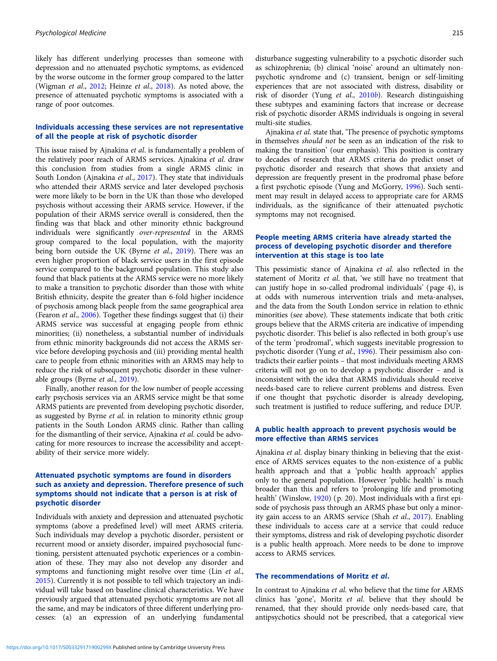likely has different underlying processes than someone with depression and no attenuated psychotic symptoms, as evidenced by the worse outcome in the former group compared to the latter (Wigman et al., [2012;](#page-6-0) Heinze et al., [2018\)](#page-5-0). As noted above, the presence of attenuated psychotic symptoms is associated with a range of poor outcomes.

#### Individuals accessing these services are not representative of all the people at risk of psychotic disorder

This issue raised by Ajnakina et al. is fundamentally a problem of the relatively poor reach of ARMS services. Ajnakina et al. draw this conclusion from studies from a single ARMS clinic in South London (Ajnakina et al., [2017\)](#page-4-0). They state that individuals who attended their ARMS service and later developed psychosis were more likely to be born in the UK than those who developed psychosis without accessing their ARMS service. However, if the population of their ARMS service overall is considered, then the finding was that black and other minority ethnic background individuals were significantly over-represented in the ARMS group compared to the local population, with the majority being born outside the UK (Byrne et al., [2019](#page-5-0)). There was an even higher proportion of black service users in the first episode service compared to the background population. This study also found that black patients at the ARMS service were no more likely to make a transition to psychotic disorder than those with white British ethnicity, despite the greater than 6-fold higher incidence of psychosis among black people from the same geographical area (Fearon et al., [2006](#page-5-0)). Together these findings suggest that (i) their ARMS service was successful at engaging people from ethnic minorities; (ii) nonetheless, a substantial number of individuals from ethnic minority backgrounds did not access the ARMS service before developing psychosis and (iii) providing mental health care to people from ethnic minorities with an ARMS may help to reduce the risk of subsequent psychotic disorder in these vulnerable groups (Byrne et al., [2019](#page-5-0)).

Finally, another reason for the low number of people accessing early psychosis services via an ARMS service might be that some ARMS patients are prevented from developing psychotic disorder, as suggested by Byrne et al. in relation to minority ethnic group patients in the South London ARMS clinic. Rather than calling for the dismantling of their service, Ajnakina et al. could be advocating for more resources to increase the accessibility and acceptability of their service more widely.

## Attenuated psychotic symptoms are found in disorders such as anxiety and depression. Therefore presence of such symptoms should not indicate that a person is at risk of psychotic disorder

Individuals with anxiety and depression and attenuated psychotic symptoms (above a predefined level) will meet ARMS criteria. Such individuals may develop a psychotic disorder, persistent or recurrent mood or anxiety disorder, impaired psychosocial functioning, persistent attenuated psychotic experiences or a combination of these. They may also not develop any disorder and symptoms and functioning might resolve over time (Lin et al., [2015\)](#page-5-0). Currently it is not possible to tell which trajectory an individual will take based on baseline clinical characteristics. We have previously argued that attenuated psychotic symptoms are not all the same, and may be indicators of three different underlying processes: (a) an expression of an underlying fundamental

disturbance suggesting vulnerability to a psychotic disorder such as schizophrenia; (b) clinical 'noise' around an ultimately nonpsychotic syndrome and (c) transient, benign or self-limiting experiences that are not associated with distress, disability or risk of disorder (Yung et al., [2010](#page-6-0)b). Research distinguishing these subtypes and examining factors that increase or decrease risk of psychotic disorder ARMS individuals is ongoing in several multi-site studies.

Ajnakina et al. state that, 'The presence of psychotic symptoms in themselves should not be seen as an indication of the risk to making the transition' (our emphasis). This position is contrary to decades of research that ARMS criteria do predict onset of psychotic disorder and research that shows that anxiety and depression are frequently present in the prodromal phase before a first psychotic episode (Yung and McGorry, [1996](#page-6-0)). Such sentiment may result in delayed access to appropriate care for ARMS individuals, as the significance of their attenuated psychotic symptoms may not recognised.

## People meeting ARMS criteria have already started the process of developing psychotic disorder and therefore intervention at this stage is too late

This pessimistic stance of Ajnakina et al. also reflected in the statement of Moritz et al. that, 'we still have no treatment that can justify hope in so-called prodromal individuals' (page 4), is at odds with numerous intervention trials and meta-analyses, and the data from the South London service in relation to ethnic minorities (see above). These statements indicate that both critic groups believe that the ARMS criteria are indicative of impending psychotic disorder. This belief is also reflected in both group's use of the term 'prodromal', which suggests inevitable progression to psychotic disorder (Yung et al., [1996\)](#page-6-0). Their pessimism also contradicts their earlier points – that most individuals meeting ARMS criteria will not go on to develop a psychotic disorder – and is inconsistent with the idea that ARMS individuals should receive needs-based care to relieve current problems and distress. Even if one thought that psychotic disorder is already developing, such treatment is justified to reduce suffering, and reduce DUP.

# A public health approach to prevent psychosis would be more effective than ARMS services

Ajnakina et al. display binary thinking in believing that the existence of ARMS services equates to the non-existence of a public health approach and that a 'public health approach' applies only to the general population. However 'public health' is much broader than this and refers to 'prolonging life and promoting health' (Winslow, [1920\)](#page-6-0) (p. 20). Most individuals with a first episode of psychosis pass through an ARMS phase but only a minority gain access to an ARMS service (Shah et al., [2017](#page-6-0)). Enabling these individuals to access care at a service that could reduce their symptoms, distress and risk of developing psychotic disorder is a public health approach. More needs to be done to improve access to ARMS services.

#### The recommendations of Moritz et al.

In contrast to Ajnakina et al. who believe that the time for ARMS clinics has 'gone', Moritz et al. believe that they should be renamed, that they should provide only needs-based care, that antipsychotics should not be prescribed, that a categorical view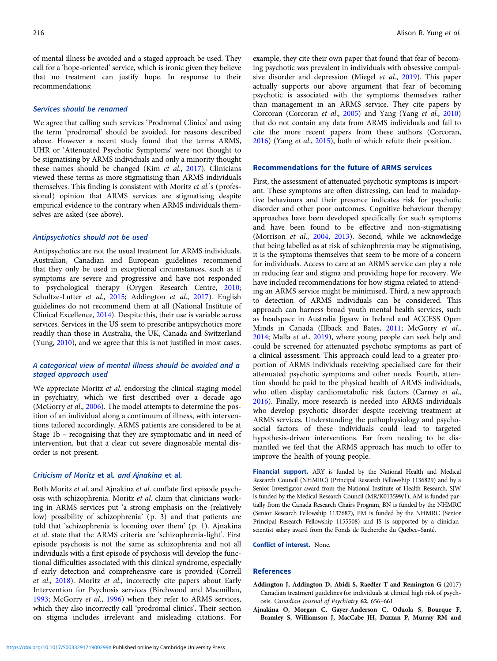<span id="page-4-0"></span>of mental illness be avoided and a staged approach be used. They call for a 'hope-oriented' service, which is ironic given they believe that no treatment can justify hope. In response to their recommendations:

#### Services should be renamed

We agree that calling such services 'Prodromal Clinics' and using the term 'prodromal' should be avoided, for reasons described above. However a recent study found that the terms ARMS, UHR or 'Attenuated Psychotic Symptoms' were not thought to be stigmatising by ARMS individuals and only a minority thought these names should be changed (Kim et al., [2017](#page-5-0)). Clinicians viewed these terms as more stigmatising than ARMS individuals themselves. This finding is consistent with Moritz et al.'s (professional) opinion that ARMS services are stigmatising despite empirical evidence to the contrary when ARMS individuals themselves are asked (see above).

#### Antipsychotics should not be used

Antipsychotics are not the usual treatment for ARMS individuals. Australian, Canadian and European guidelines recommend that they only be used in exceptional circumstances, such as if symptoms are severe and progressive and have not responded to psychological therapy (Orygen Research Centre, [2010](#page-6-0); Schultze-Lutter et al., [2015;](#page-6-0) Addington et al., 2017). English guidelines do not recommend them at all (National Institute of Clinical Excellence, [2014\)](#page-6-0). Despite this, their use is variable across services. Services in the US seem to prescribe antipsychotics more readily than those in Australia, the UK, Canada and Switzerland (Yung, [2010](#page-6-0)), and we agree that this is not justified in most cases.

# A categorical view of mental illness should be avoided and a staged approach used

We appreciate Moritz et al. endorsing the clinical staging model in psychiatry, which we first described over a decade ago (McGorry et al., [2006](#page-5-0)). The model attempts to determine the position of an individual along a continuum of illness, with interventions tailored accordingly. ARMS patients are considered to be at Stage 1b – recognising that they are symptomatic and in need of intervention, but that a clear cut severe diagnosable mental disorder is not present.

#### Criticism of Moritz et al. and Ajnakina et al.

Both Moritz et al. and Ajnakina et al. conflate first episode psychosis with schizophrenia. Moritz et al. claim that clinicians working in ARMS services put 'a strong emphasis on the (relatively low) possibility of schizophrenia' (p. 3) and that patients are told that 'schizophrenia is looming over them' (p. 1). Ajnakina et al. state that the ARMS criteria are 'schizophrenia-light'. First episode psychosis is not the same as schizophrenia and not all individuals with a first episode of psychosis will develop the functional difficulties associated with this clinical syndrome, especially if early detection and comprehensive care is provided (Correll et al., [2018\)](#page-5-0). Moritz et al., incorrectly cite papers about Early Intervention for Psychosis services (Birchwood and Macmillan, [1993;](#page-5-0) McGorry et al., [1996\)](#page-5-0) when they refer to ARMS services, which they also incorrectly call 'prodromal clinics'. Their section on stigma includes irrelevant and misleading citations. For

example, they cite their own paper that found that fear of becoming psychotic was prevalent in individuals with obsessive compul-sive disorder and depression (Miegel et al., [2019\)](#page-5-0). This paper actually supports our above argument that fear of becoming psychotic is associated with the symptoms themselves rather than management in an ARMS service. They cite papers by Corcoran (Corcoran et al., [2005\)](#page-5-0) and Yang (Yang et al., [2010](#page-6-0)) that do not contain any data from ARMS individuals and fail to cite the more recent papers from these authors (Corcoran, [2016\)](#page-5-0) (Yang et al., [2015](#page-6-0)), both of which refute their position.

#### Recommendations for the future of ARMS services

First, the assessment of attenuated psychotic symptoms is important. These symptoms are often distressing, can lead to maladaptive behaviours and their presence indicates risk for psychotic disorder and other poor outcomes. Cognitive behaviour therapy approaches have been developed specifically for such symptoms and have been found to be effective and non-stigmatising (Morrison et al., [2004,](#page-5-0) [2013](#page-6-0)). Second, while we acknowledge that being labelled as at risk of schizophrenia may be stigmatising, it is the symptoms themselves that seem to be more of a concern for individuals. Access to care at an ARMS service can play a role in reducing fear and stigma and providing hope for recovery. We have included recommendations for how stigma related to attending an ARMS service might be minimised. Third, a new approach to detection of ARMS individuals can be considered. This approach can harness broad youth mental health services, such as headspace in Australia Jigsaw in Ireland and ACCESS Open Minds in Canada (Illback and Bates, [2011](#page-5-0); McGorry et al., [2014;](#page-5-0) Malla et al., [2019](#page-5-0)), where young people can seek help and could be screened for attenuated psychotic symptoms as part of a clinical assessment. This approach could lead to a greater proportion of ARMS individuals receiving specialised care for their attenuated psychotic symptoms and other needs. Fourth, attention should be paid to the physical health of ARMS individuals, who often display cardiometabolic risk factors (Carney et al., [2016\)](#page-5-0). Finally, more research is needed into ARMS individuals who develop psychotic disorder despite receiving treatment at ARMS services. Understanding the pathophysiology and psychosocial factors of these individuals could lead to targeted hypothesis-driven interventions. Far from needing to be dismantled we feel that the ARMS approach has much to offer to improve the health of young people.

Financial support. ARY is funded by the National Health and Medical Research Council (NHMRC) (Principal Research Fellowship 1136829) and by a Senior Investigator award from the National Institute of Health Research, SJW is funded by the Medical Research Council (MR/K013599/1), AM is funded partially from the Canada Research Chairs Program, BN is funded by the NHMRC (Senior Research Fellowship 1137687), PM is funded by the NHMRC (Senior Principal Research Fellowship 1155508) and JS is supported by a clinicianscientist salary award from the Fonds de Recherche du Québec–Santé.

Conflict of interest. None.

#### References

- Addington J, Addington D, Abidi S, Raedler T and Remington G (2017) Canadian treatment guidelines for individuals at clinical high risk of psychosis. Canadian Journal of Psychiatry 62, 656–661.
- Ajnakina O, Morgan C, Gayer-Anderson C, Oduola S, Bourque F, Bramley S, Williamson J, MacCabe JH, Dazzan P, Murray RM and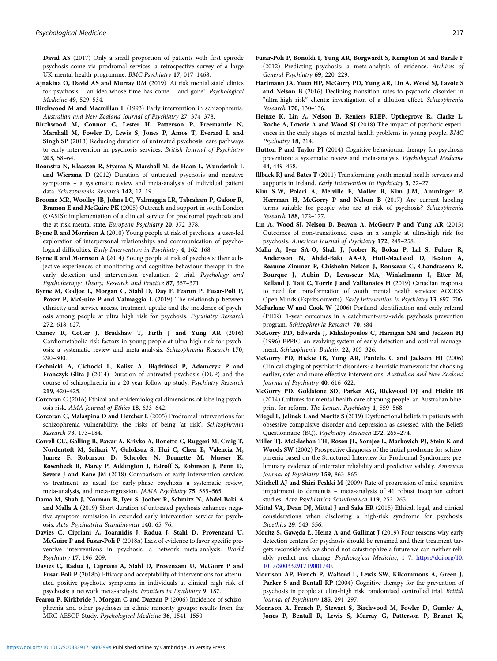<span id="page-5-0"></span>David AS (2017) Only a small proportion of patients with first episode psychosis come via prodromal services: a retrospective survey of a large UK mental health programme. BMC Psychiatry 17, 017–1468.

- Ajnakina O, David AS and Murray RM (2019) 'At risk mental state' clinics for psychosis – an idea whose time has come – and gone!. Psychological Medicine 49, 529–534.
- Birchwood M and Macmillan F (1993) Early intervention in schizophrenia. Australian and New Zealand Journal of Psychiatry 27, 374–378.
- Birchwood M, Connor C, Lester H, Patterson P, Freemantle N, Marshall M, Fowler D, Lewis S, Jones P, Amos T, Everard L and Singh SP (2013) Reducing duration of untreated psychosis: care pathways to early intervention in psychosis services. British Journal of Psychiatry 203, 58–64.
- Boonstra N, Klaassen R, Styema S, Marshall M, de Haan L, Wunderink L and Wiersma D (2012) Duration of untreated psychosis and negative symptoms – a systematic review and meta-analysis of individual patient data. Schizophrenia Research 142, 12–19.
- Broome MR, Woolley JB, Johns LC, Valmaggia LR, Tabraham P, Gafoor R, Bramon E and McGuire PK (2005) Outreach and support in south London (OASIS): implementation of a clinical service for prodromal psychosis and the at risk mental state. European Psychiatry 20, 372–378.
- Byrne R and Morrison A (2010) Young people at risk of psychosis: a user-led exploration of interpersonal relationships and communication of psychological difficulties. Early Intervention in Psychiatry 4, 162–168.
- Byrne R and Morrison A (2014) Young people at risk of psychosis: their subjective experiences of monitoring and cognitive behaviour therapy in the early detection and intervention evaluation 2 trial. Psychology and Psychotherapy: Theory, Research and Practice 87, 357–371.
- Byrne M, Codjoe L, Morgan C, Stahl D, Day F, Fearon P, Fusar-Poli P, Power P, McGuire P and Valmaggia L (2019) The relationship between ethnicity and service access, treatment uptake and the incidence of psychosis among people at ultra high risk for psychosis. Psychiatry Research 272, 618–627.
- Carney R, Cotter J, Bradshaw T, Firth J and Yung AR (2016) Cardiometabolic risk factors in young people at ultra-high risk for psychosis: a systematic review and meta-analysis. Schizophrenia Research 170, 290–300.
- Cechnicki A, Cichocki L, Kalisz A, Błądziński P, Adamczyk P and Franczyk-Glita J (2014) Duration of untreated psychosis (DUP) and the course of schizophrenia in a 20-year follow-up study. Psychiatry Research 219, 420–425.
- Corcoran C (2016) Ethical and epidemiological dimensions of labeling psychosis risk. AMA Journal of Ethics 18, 633–642.
- Corcoran C, Malaspina D and Hercher L (2005) Prodromal interventions for schizophrenia vulnerability: the risks of being 'at risk'. Schizophrenia Research 73, 173–184.
- Correll CU, Galling B, Pawar A, Krivko A, Bonetto C, Ruggeri M, Craig T, Nordentoft M, Srihari V, Guloksuz S, Hui C, Chen E, Valencia M, Juarez F, Robinson D, Schooler N, Brunette M, Mueser K, Rosenheck R, Marcy P, Addington J, Estroff S, Robinson J, Penn D, Severe J and Kane JM (2018) Comparison of early intervention services vs treatment as usual for early-phase psychosis a systematic review, meta-analysis, and meta-regression. JAMA Psychiatry 75, 555–565.
- Dama M, Shah J, Norman R, Iyer S, Joober R, Schmitz N, Abdel‐Baki A and Malla A (2019) Short duration of untreated psychosis enhances negative symptom remission in extended early intervention service for psychosis. Acta Psychiatrica Scandinavica 140, 65–76.
- Davies C, Cipriani A, Ioannidis J, Radua J, Stahl D, Provenzani U, McGuire P and Fusar‐Poli P (2018a) Lack of evidence to favor specific preventive interventions in psychosis: a network meta‐analysis. World Psychiatry 17, 196–209.
- Davies C, Radua J, Cipriani A, Stahl D, Provenzani U, McGuire P and Fusar-Poli P (2018b) Efficacy and acceptability of interventions for attenuated positive psychotic symptoms in individuals at clinical high risk of psychosis: a network meta-analysis. Frontiers in Psychiatry 9, 187.
- Fearon P, Kirkbride J, Morgan C and Dazzan P (2006) Incidence of schizophrenia and other psychoses in ethnic minority groups: results from the MRC AESOP Study. Psychological Medicine 36, 1541–1550.
- Fusar-Poli P, Bonoldi I, Yung AR, Borgwardt S, Kempton M and Barale F (2012) Predicting psychosis: a meta-analysis of evidence. Archives of General Psychiatry 69, 220–229.
- Hartmann JA, Yuen HP, McGorry PD, Yung AR, Lin A, Wood SJ, Lavoie S and Nelson B (2016) Declining transition rates to psychotic disorder in "ultra-high risk" clients: investigation of a dilution effect. Schizophrenia Research 170, 130–136.
- Heinze K, Lin A, Nelson B, Reniers RLEP, Upthegrove R, Clarke L, Roche A, Lowrie A and Wood SJ (2018) The impact of psychotic experiences in the early stages of mental health problems in young people. BMC Psychiatry 18, 214.
- Hutton P and Taylor PJ (2014) Cognitive behavioural therapy for psychosis prevention: a systematic review and meta-analysis. Psychological Medicine 44, 449–468.
- Illback RJ and Bates T (2011) Transforming youth mental health services and supports in Ireland. Early Intervention in Psychiatry 5, 22–27.
- Kim S-W, Polari A, Melville F, Moller B, Kim J-M, Amminger P, Herrman H, McGorry P and Nelson B (2017) Are current labeling terms suitable for people who are at risk of psychosis? Schizophrenia Research 188, 172–177.
- Lin A, Wood SJ, Nelson B, Beavan A, McGorry P and Yung AR (2015) Outcomes of non-transitioned cases in a sample at ultra-high risk for psychosis. American Journal of Psychiatry 172, 249–258.
- Malla A, Iyer SA-O, Shah J, Joober R, Boksa P, Lal S, Fuhrer R, Andersson N, Abdel-Baki AA-O, Hutt-MacLeod D, Beaton A, Reaume-Zimmer P, Chisholm-Nelson J, Rousseau C, Chandrasena R, Bourque J, Aubin D, Levasseur MA, Winkelmann I, Etter M, Kelland J, Tait C, Torrie J and Vallianatos H (2019) Canadian response to need for transformation of youth mental health services: ACCESS Open Minds (Esprits ouverts). Early Intervention in Psychiatry 13, 697–706.
- McFarlane W and Cook W (2006) Portland identification and early referral (PIER): 1-year outcomes in a catchment-area-wide psychosis prevention program. Schizophrenia Research 70, s84.
- McGorry PD, Edwards J, Mihalopoulos C, Harrigan SM and Jackson HJ (1996) EPPIC: an evolving system of early detection and optimal management. Schizophrenia Bulletin 22, 305–326.
- McGorry PD, Hickie IB, Yung AR, Pantelis C and Jackson HJ (2006) Clinical staging of psychiatric disorders: a heuristic framework for choosing earlier, safer and more effective interventions. Australian and New Zealand Journal of Psychiatry 40, 616–622.
- McGorry PD, Goldstone SD, Parker AG, Rickwood DJ and Hickie IB (2014) Cultures for mental health care of young people: an Australian blueprint for reform. The Lancet. Psychiatry 1, 559–568.
- Miegel F, Jelinek L and Moritz S (2019) Dysfunctional beliefs in patients with obsessive-compulsive disorder and depression as assessed with the Beliefs Questionnaire (BQ). Psychiatry Research 272, 265–274.
- Miller TJ, McGlashan TH, Rosen JL, Somjee L, Markovich PJ, Stein K and Woods SW (2002) Prospective diagnosis of the initial prodrome for schizophrenia based on the Structured Interview for Prodromal Syndromes: preliminary evidence of interrater reliability and predictive validity. American Journal of Psychiatry 159, 863–865.
- Mitchell AJ and Shiri-Feshki M (2009) Rate of progression of mild cognitive impairment to dementia – meta‐analysis of 41 robust inception cohort studies. Acta Psychiatrica Scandinavica 119, 252–265.
- Mittal VA, Dean DJ, Mittal J and Saks ER (2015) Ethical, legal, and clinical considerations when disclosing a high-risk syndrome for psychosis. Bioethics 29, 543–556.
- Moritz S, Gawęda Ł, Heinz A and Gallinat J (2019) Four reasons why early detection centers for psychosis should be renamed and their treatment targets reconsidered: we should not catastrophize a future we can neither reliably predict nor change. Psychological Medicine, 1-7. [https://doi.org/10.](https://doi.org/10.1017/S0033291719001740) [1017/S0033291719001740.](https://doi.org/10.1017/S0033291719001740)
- Morrison AP, French P, Walford L, Lewis SW, Kilcommons A, Green J, Parker S and Bentall RP (2004) Cognitive therapy for the prevention of psychosis in people at ultra-high risk: randomised controlled trial. British Journal of Psychiatry 185, 291–297.
- Morrison A, French P, Stewart S, Birchwood M, Fowler D, Gumley A, Jones P, Bentall R, Lewis S, Murray G, Patterson P, Brunet K,